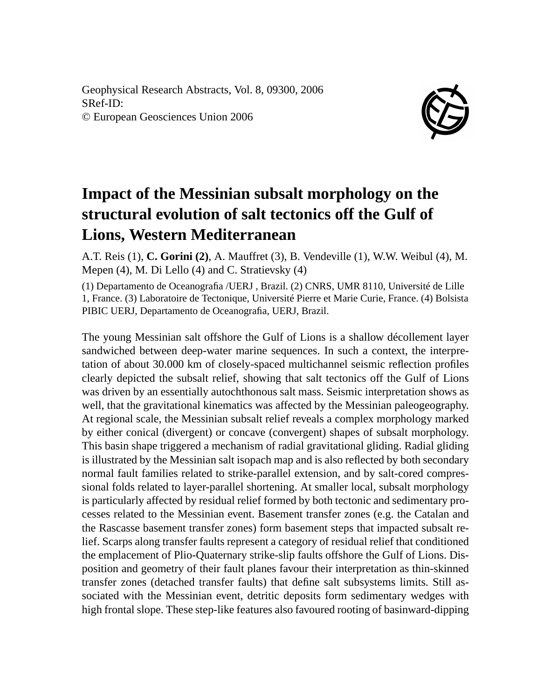Geophysical Research Abstracts, Vol. 8, 09300, 2006 SRef-ID: © European Geosciences Union 2006



## **Impact of the Messinian subsalt morphology on the structural evolution of salt tectonics off the Gulf of Lions, Western Mediterranean**

A.T. Reis (1), **C. Gorini (2)**, A. Mauffret (3), B. Vendeville (1), W.W. Weibul (4), M. Mepen (4), M. Di Lello (4) and C. Stratievsky (4)

(1) Departamento de Oceanografia /UERJ , Brazil. (2) CNRS, UMR 8110, Université de Lille 1, France. (3) Laboratoire de Tectonique, Université Pierre et Marie Curie, France. (4) Bolsista PIBIC UERJ, Departamento de Oceanografia, UERJ, Brazil.

The young Messinian salt offshore the Gulf of Lions is a shallow décollement layer sandwiched between deep-water marine sequences. In such a context, the interpretation of about 30.000 km of closely-spaced multichannel seismic reflection profiles clearly depicted the subsalt relief, showing that salt tectonics off the Gulf of Lions was driven by an essentially autochthonous salt mass. Seismic interpretation shows as well, that the gravitational kinematics was affected by the Messinian paleogeography. At regional scale, the Messinian subsalt relief reveals a complex morphology marked by either conical (divergent) or concave (convergent) shapes of subsalt morphology. This basin shape triggered a mechanism of radial gravitational gliding. Radial gliding is illustrated by the Messinian salt isopach map and is also reflected by both secondary normal fault families related to strike-parallel extension, and by salt-cored compressional folds related to layer-parallel shortening. At smaller local, subsalt morphology is particularly affected by residual relief formed by both tectonic and sedimentary processes related to the Messinian event. Basement transfer zones (e.g. the Catalan and the Rascasse basement transfer zones) form basement steps that impacted subsalt relief. Scarps along transfer faults represent a category of residual relief that conditioned the emplacement of Plio-Quaternary strike-slip faults offshore the Gulf of Lions. Disposition and geometry of their fault planes favour their interpretation as thin-skinned transfer zones (detached transfer faults) that define salt subsystems limits. Still associated with the Messinian event, detritic deposits form sedimentary wedges with high frontal slope. These step-like features also favoured rooting of basinward-dipping